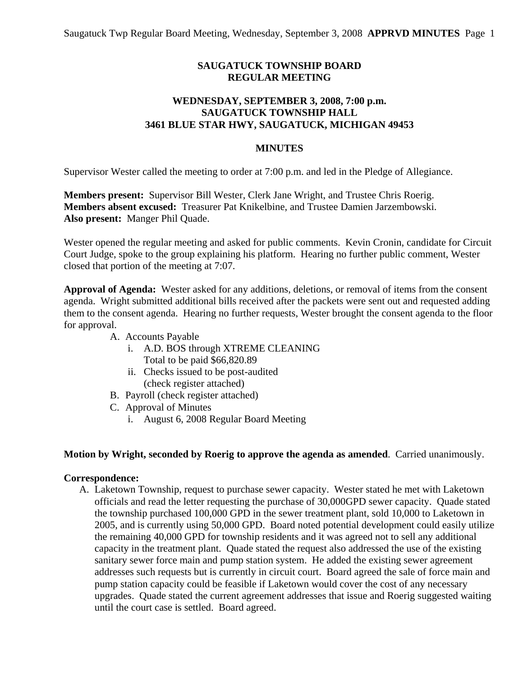# **SAUGATUCK TOWNSHIP BOARD REGULAR MEETING**

# **WEDNESDAY, SEPTEMBER 3, 2008, 7:00 p.m. SAUGATUCK TOWNSHIP HALL 3461 BLUE STAR HWY, SAUGATUCK, MICHIGAN 49453**

### **MINUTES**

Supervisor Wester called the meeting to order at 7:00 p.m. and led in the Pledge of Allegiance.

**Members present:** Supervisor Bill Wester, Clerk Jane Wright, and Trustee Chris Roerig. **Members absent excused:** Treasurer Pat Knikelbine, and Trustee Damien Jarzembowski. **Also present:** Manger Phil Quade.

Wester opened the regular meeting and asked for public comments. Kevin Cronin, candidate for Circuit Court Judge, spoke to the group explaining his platform. Hearing no further public comment, Wester closed that portion of the meeting at 7:07.

**Approval of Agenda:** Wester asked for any additions, deletions, or removal of items from the consent agenda. Wright submitted additional bills received after the packets were sent out and requested adding them to the consent agenda. Hearing no further requests, Wester brought the consent agenda to the floor for approval.

- A. Accounts Payable
	- i. A.D. BOS through XTREME CLEANING Total to be paid \$66,820.89
	- ii. Checks issued to be post-audited (check register attached)
- B. Payroll (check register attached)
- C. Approval of Minutes
	- i. August 6, 2008 Regular Board Meeting

### **Motion by Wright, seconded by Roerig to approve the agenda as amended**. Carried unanimously.

#### **Correspondence:**

A. Laketown Township, request to purchase sewer capacity. Wester stated he met with Laketown officials and read the letter requesting the purchase of 30,000GPD sewer capacity. Quade stated the township purchased 100,000 GPD in the sewer treatment plant, sold 10,000 to Laketown in 2005, and is currently using 50,000 GPD. Board noted potential development could easily utilize the remaining 40,000 GPD for township residents and it was agreed not to sell any additional capacity in the treatment plant. Quade stated the request also addressed the use of the existing sanitary sewer force main and pump station system. He added the existing sewer agreement addresses such requests but is currently in circuit court. Board agreed the sale of force main and pump station capacity could be feasible if Laketown would cover the cost of any necessary upgrades. Quade stated the current agreement addresses that issue and Roerig suggested waiting until the court case is settled. Board agreed.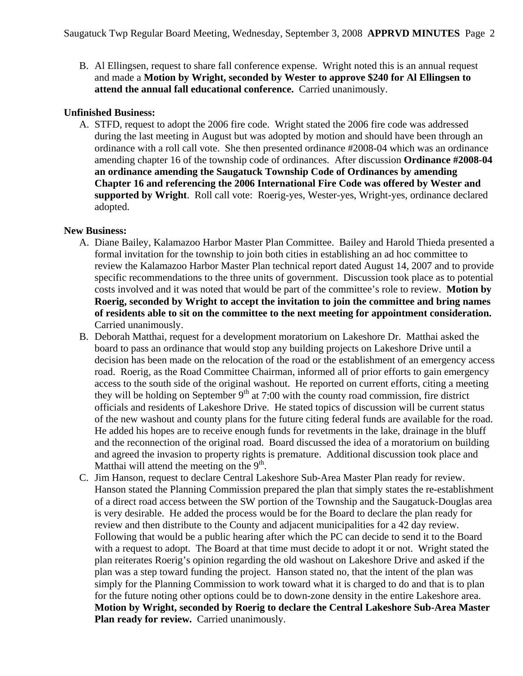B. Al Ellingsen, request to share fall conference expense. Wright noted this is an annual request and made a **Motion by Wright, seconded by Wester to approve \$240 for Al Ellingsen to attend the annual fall educational conference.** Carried unanimously.

## **Unfinished Business:**

A. STFD, request to adopt the 2006 fire code. Wright stated the 2006 fire code was addressed during the last meeting in August but was adopted by motion and should have been through an ordinance with a roll call vote. She then presented ordinance #2008-04 which was an ordinance amending chapter 16 of the township code of ordinances. After discussion **Ordinance #2008-04 an ordinance amending the Saugatuck Township Code of Ordinances by amending Chapter 16 and referencing the 2006 International Fire Code was offered by Wester and supported by Wright**. Roll call vote: Roerig-yes, Wester-yes, Wright-yes, ordinance declared adopted.

# **New Business:**

- A. Diane Bailey, Kalamazoo Harbor Master Plan Committee. Bailey and Harold Thieda presented a formal invitation for the township to join both cities in establishing an ad hoc committee to review the Kalamazoo Harbor Master Plan technical report dated August 14, 2007 and to provide specific recommendations to the three units of government. Discussion took place as to potential costs involved and it was noted that would be part of the committee's role to review. **Motion by Roerig, seconded by Wright to accept the invitation to join the committee and bring names of residents able to sit on the committee to the next meeting for appointment consideration.**  Carried unanimously.
- B. Deborah Matthai, request for a development moratorium on Lakeshore Dr. Matthai asked the board to pass an ordinance that would stop any building projects on Lakeshore Drive until a decision has been made on the relocation of the road or the establishment of an emergency access road. Roerig, as the Road Committee Chairman, informed all of prior efforts to gain emergency access to the south side of the original washout. He reported on current efforts, citing a meeting they will be holding on September  $9<sup>th</sup>$  at 7:00 with the county road commission, fire district officials and residents of Lakeshore Drive. He stated topics of discussion will be current status of the new washout and county plans for the future citing federal funds are available for the road. He added his hopes are to receive enough funds for revetments in the lake, drainage in the bluff and the reconnection of the original road. Board discussed the idea of a moratorium on building and agreed the invasion to property rights is premature. Additional discussion took place and Matthai will attend the meeting on the  $9<sup>th</sup>$ .
- C. Jim Hanson, request to declare Central Lakeshore Sub-Area Master Plan ready for review. Hanson stated the Planning Commission prepared the plan that simply states the re-establishment of a direct road access between the SW portion of the Township and the Saugatuck-Douglas area is very desirable. He added the process would be for the Board to declare the plan ready for review and then distribute to the County and adjacent municipalities for a 42 day review. Following that would be a public hearing after which the PC can decide to send it to the Board with a request to adopt. The Board at that time must decide to adopt it or not. Wright stated the plan reiterates Roerig's opinion regarding the old washout on Lakeshore Drive and asked if the plan was a step toward funding the project. Hanson stated no, that the intent of the plan was simply for the Planning Commission to work toward what it is charged to do and that is to plan for the future noting other options could be to down-zone density in the entire Lakeshore area. **Motion by Wright, seconded by Roerig to declare the Central Lakeshore Sub-Area Master**  Plan ready for review. Carried unanimously.